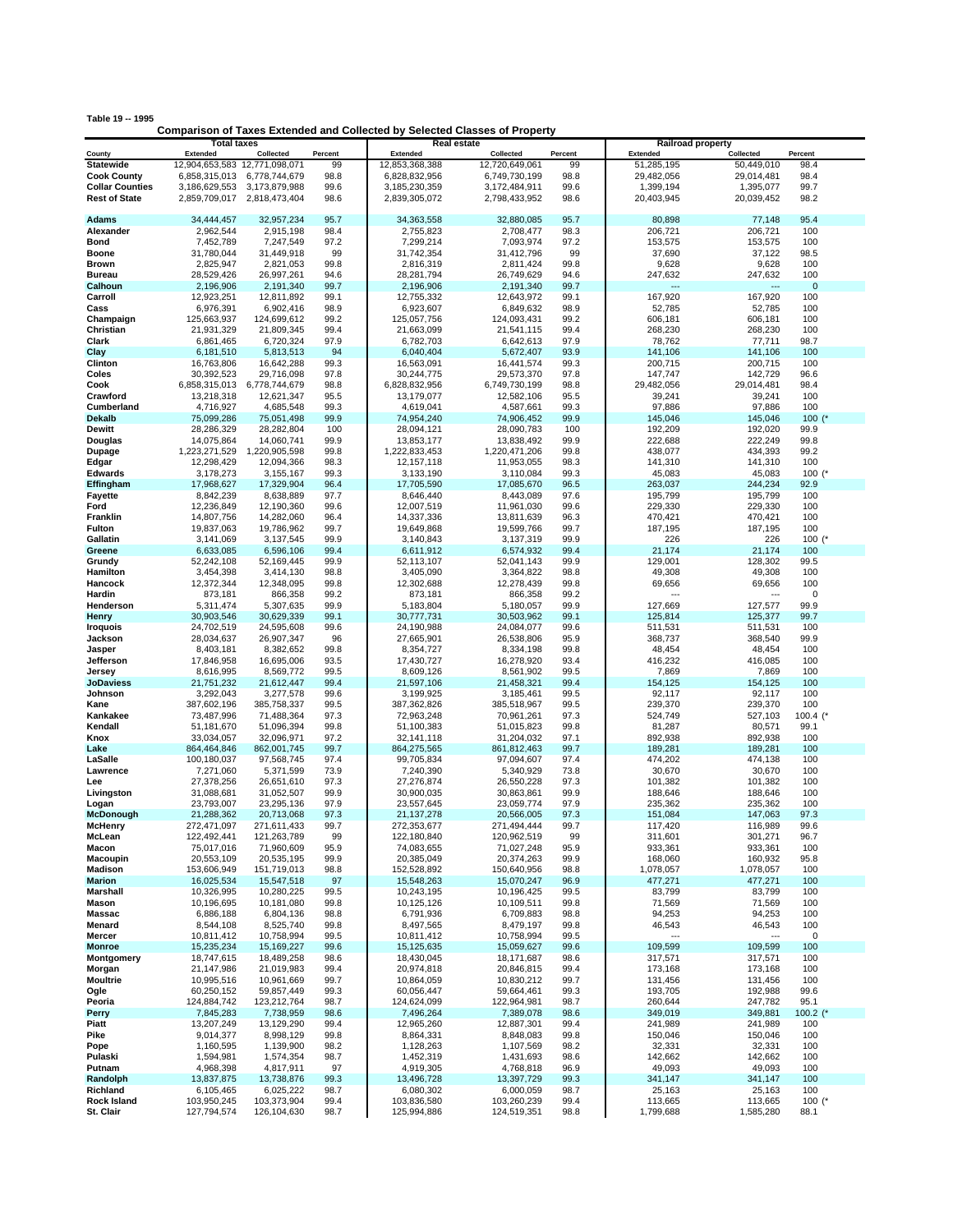| Table 19 -- 1995 |  |  |  |  |  |
|------------------|--|--|--|--|--|
|------------------|--|--|--|--|--|

## **Comparison of Taxes Extended and Collected by Selected Classes of Property**

|                           | <b>Total taxes</b>            |                             |              | <b>Real estate</b>       |                          |              | <b>Railroad property</b> |                          |                    |
|---------------------------|-------------------------------|-----------------------------|--------------|--------------------------|--------------------------|--------------|--------------------------|--------------------------|--------------------|
| County                    | Extended                      | Collected                   | Percent      | <b>Extended</b>          | Collected                | Percent      | <b>Extended</b>          | Collected                | Percent            |
| <b>Statewide</b>          | 12,904,653,583 12,771,098,071 |                             | 99           | 12,853,368,388           | 12,720,649,061           | 99           | 51,285,195               | 50,449,010               | 98.4               |
| <b>Cook County</b>        | 6,858,315,013                 | 6,778,744,679               | 98.8         | 6,828,832,956            | 6,749,730,199            | 98.8         | 29,482,056               | 29,014,481               | 98.4               |
| <b>Collar Counties</b>    | 3,186,629,553                 | 3,173,879,988               | 99.6         | 3,185,230,359            | 3,172,484,911            | 99.6         | 1,399,194                | 1,395,077                | 99.7               |
| <b>Rest of State</b>      |                               | 2,859,709,017 2,818,473,404 | 98.6         | 2,839,305,072            | 2,798,433,952            | 98.6         | 20,403,945               | 20,039,452               | 98.2               |
|                           |                               |                             |              |                          |                          |              |                          |                          |                    |
| <b>Adams</b>              | 34,444,457                    | 32,957,234                  | 95.7         | 34,363,558               | 32,880,085               | 95.7         | 80,898                   | 77,148                   | 95.4               |
| Alexander                 | 2,962,544                     | 2,915,198                   | 98.4         | 2,755,823                | 2,708,477                | 98.3         | 206,721                  | 206,721                  | 100                |
| Bond                      | 7,452,789                     | 7,247,549                   | 97.2         | 7,299,214                | 7,093,974                | 97.2         | 153,575                  | 153,575                  | 100                |
| Boone                     | 31,780,044                    | 31,449,918                  | 99           | 31,742,354               | 31,412,796               | 99           | 37,690                   | 37,122                   | 98.5               |
| Brown                     | 2,825,947                     | 2,821,053                   | 99.8         | 2,816,319                | 2,811,424                | 99.8         | 9,628                    | 9,628                    | 100                |
| <b>Bureau</b>             | 28,529,426                    | 26,997,261                  | 94.6         | 28,281,794               | 26,749,629               | 94.6         | 247,632                  | 247,632                  | 100                |
| Calhoun                   | 2,196,906                     | 2,191,340                   | 99.7         | 2,196,906                | 2,191,340                | 99.7         |                          | 167,920                  | $\mathbf 0$<br>100 |
| Carroll                   | 12,923,251                    | 12,811,892                  | 99.1<br>98.9 | 12,755,332               | 12,643,972               | 99.1<br>98.9 | 167,920                  |                          | 100                |
| Cass<br>Champaign         | 6,976,391<br>125,663,937      | 6,902,416<br>124,699,612    | 99.2         | 6,923,607<br>125,057,756 | 6,849,632<br>124,093,431 | 99.2         | 52,785<br>606,181        | 52,785                   | 100                |
| Christian                 | 21,931,329                    | 21.809.345                  | 99.4         | 21,663,099               | 21,541,115               | 99.4         | 268,230                  | 606,181<br>268,230       | 100                |
| Clark                     | 6,861,465                     | 6,720,324                   | 97.9         | 6,782,703                | 6,642,613                | 97.9         | 78,762                   | 77,711                   | 98.7               |
| Clay                      | 6,181,510                     | 5,813,513                   | 94           | 6,040,404                | 5,672,407                | 93.9         | 141,106                  | 141,106                  | 100                |
| Clinton                   | 16,763,806                    | 16,642,288                  | 99.3         | 16,563,091               | 16,441,574               | 99.3         | 200,715                  | 200,715                  | 100                |
| Coles                     | 30,392,523                    | 29,716,098                  | 97.8         | 30,244,775               | 29,573,370               | 97.8         | 147,747                  | 142,729                  | 96.6               |
| Cook                      | 6,858,315,013                 | 6,778,744,679               | 98.8         | 6,828,832,956            | 6,749,730,199            | 98.8         | 29,482,056               | 29,014,481               | 98.4               |
| Crawford                  | 13,218,318                    | 12,621,347                  | 95.5         | 13,179,077               | 12,582,106               | 95.5         | 39,241                   | 39,241                   | 100                |
| Cumberland                | 4,716,927                     | 4,685,548                   | 99.3         | 4,619,041                | 4,587,661                | 99.3         | 97,886                   | 97,886                   | 100                |
| <b>Dekalb</b>             | 75,099,286                    | 75,051,498                  | 99.9         | 74,954,240               | 74,906,452               | 99.9         | 145,046                  | 145,046                  | 100 $($ *          |
| Dewitt                    | 28,286,329                    | 28,282,804                  | 100          | 28,094,121               | 28,090,783               | 100          | 192,209                  | 192,020                  | 99.9               |
| Douglas                   | 14,075,864                    | 14,060,741                  | 99.9         | 13,853,177               | 13,838,492               | 99.9         | 222,688                  | 222,249                  | 99.8               |
| Dupage                    | 1,223,271,529                 | 1,220,905,598               | 99.8         | 1,222,833,453            | 1,220,471,206            | 99.8         | 438,077                  | 434,393                  | 99.2               |
| Edgar                     | 12,298,429                    | 12,094,366                  | 98.3         | 12,157,118               | 11,953,055               | 98.3         | 141,310                  | 141,310                  | 100                |
| <b>Edwards</b>            | 3,178,273                     | 3,155,167                   | 99.3         | 3,133,190                | 3,110,084                | 99.3         | 45,083                   | 45,083                   | 100 $(*$           |
| Effingham                 | 17,968,627                    | 17,329,904                  | 96.4         | 17,705,590               | 17,085,670               | 96.5         | 263,037                  | 244,234                  | 92.9               |
| <b>Fayette</b>            | 8,842,239                     | 8,638,889                   | 97.7         | 8,646,440                | 8,443,089                | 97.6         | 195,799                  | 195,799                  | 100                |
| Ford                      | 12,236,849                    | 12,190,360                  | 99.6         | 12,007,519               | 11,961,030               | 99.6         | 229,330                  | 229,330                  | 100                |
| Franklin                  | 14,807,756                    | 14,282,060                  | 96.4         | 14,337,336               | 13,811,639               | 96.3         | 470,421                  | 470,421                  | 100                |
| Fulton                    | 19,837,063                    | 19,786,962                  | 99.7         | 19,649,868               | 19,599,766               | 99.7         | 187,195                  | 187,195                  | 100                |
| Gallatin                  | 3,141,069                     | 3,137,545                   | 99.9         | 3,140,843                | 3,137,319                | 99.9         | 226                      | 226                      | 100 $(*$           |
| Greene                    | 6,633,085                     | 6,596,106                   | 99.4         | 6,611,912                | 6,574,932                | 99.4         | 21,174                   | 21,174                   | 100                |
| Grundy                    | 52,242,108                    | 52,169,445                  | 99.9         | 52,113,107               | 52,041,143               | 99.9         | 129,001                  | 128,302                  | 99.5               |
| Hamilton                  | 3,454,398                     | 3,414,130                   | 98.8         | 3,405,090                | 3,364,822                | 98.8         | 49,308                   | 49,308                   | 100                |
| Hancock                   | 12,372,344                    | 12,348,095                  | 99.8         | 12,302,688               | 12,278,439               | 99.8         | 69,656                   | 69,656                   | 100                |
| Hardin                    | 873,181                       | 866,358                     | 99.2         | 873,181                  | 866,358                  | 99.2         | ---                      | $\sim$                   | 0                  |
| Henderson                 | 5,311,474                     | 5,307,635                   | 99.9         | 5,183,804                | 5,180,057                | 99.9         | 127,669                  | 127,577                  | 99.9               |
| Henry                     | 30,903,546                    | 30,629,339                  | 99.1         | 30,777,731               | 30,503,962               | 99.1         | 125,814                  | 125,377                  | 99.7               |
| <b>Iroquois</b>           | 24,702,519                    | 24,595,608                  | 99.6         | 24,190,988               | 24,084,077               | 99.6         | 511,531                  | 511,531                  | 100                |
| Jackson                   | 28,034,637                    | 26,907,347                  | 96           | 27,665,901               | 26,538,806               | 95.9         | 368,737                  | 368,540                  | 99.9               |
| Jasper                    | 8,403,181                     | 8,382,652                   | 99.8         | 8,354,727                | 8,334,198                | 99.8         | 48,454                   | 48,454                   | 100                |
| Jefferson                 | 17,846,958                    | 16,695,006                  | 93.5         | 17,430,727               | 16,278,920               | 93.4         | 416,232                  | 416,085                  | 100                |
| Jersey                    | 8,616,995                     | 8,569,772                   | 99.5         | 8,609,126                | 8,561,902                | 99.5         | 7,869                    | 7,869                    | 100                |
| JoDaviess                 | 21,751,232                    | 21,612,447                  | 99.4         | 21,597,106               | 21,458,321               | 99.4         | 154,125                  | 154,125                  | 100                |
| Johnson                   | 3,292,043                     | 3,277,578                   | 99.6         | 3,199,925                | 3,185,461                | 99.5         | 92,117                   | 92,117                   | 100                |
| Kane                      | 387,602,196                   | 385,758,337                 | 99.5         | 387,362,826              | 385,518,967              | 99.5         | 239,370                  | 239,370                  | 100                |
| Kankakee                  | 73,487,996                    | 71,488,364                  | 97.3         | 72,963,248               | 70,961,261               | 97.3         | 524,749                  | 527,103                  | 100.4 $($          |
| Kendall                   | 51,181,670                    | 51,096,394                  | 99.8         | 51,100,383               | 51,015,823               | 99.8         | 81,287                   | 80,571                   | 99.1               |
| Knox                      | 33,034,057                    | 32,096,971                  | 97.2         | 32,141,118               | 31,204,032               | 97.1         | 892,938                  | 892,938                  | 100                |
| Lake                      | 864,464,846                   | 862,001,745                 | 99.7         | 864,275,565              | 861,812,463              | 99.7         | 189,281                  | 189,281                  | 100                |
| LaSalle                   | 100,180,037                   | 97,568,745                  | 97.4         | 99,705,834               | 97,094,607               | 97.4         | 474,202                  | 474,138                  | 100                |
| Lawrence                  | 7,271,060                     | 5,371,599                   | 73.9         | 7,240,390                | 5,340,929                | 73.8         | 30,670                   | 30,670                   | 100                |
| Lee                       | 27,378,256                    | 26,651,610                  | 97.3         | 27,276,874               | 26,550,228               | 97.3         | 101,382                  | 101,382                  | 100                |
| Livingston                | 31,088,681                    | 31,052,507                  | 99.9         | 30,900,035               | 30,863,861               | 99.9         | 188,646                  | 188,646                  | 100                |
| Logan                     | 23,793,007                    | 23,295,136                  | 97.9         | 23,557,645               | 23,059,774               | 97.9         | 235,362                  | 235,362                  | 100                |
| McDonough                 | 21,288,362                    | 20,713,068                  | 97.3         | 21, 137, 278             | 20,566,005               | 97.3         | 151,084                  | 147,063                  | 97.3               |
| <b>McHenry</b>            | 272,471,097                   | 271,611,433                 | 99.7         | 272,353,677              | 271,494,444              | 99.7         | 117,420                  | 116,989                  | 99.6               |
| McLean                    | 122,492,441                   | 121,263,789                 | 99           | 122,180,840              | 120,962,519              | 99           | 311,601                  | 301,271                  | 96.7               |
| Macon                     | 75,017,016                    | 71,960,609                  | 95.9         | 74,083,655               | 71,027,248               | 95.9         | 933,361                  | 933,361                  | 100                |
| Macoupin                  | 20,553,109                    | 20,535,195                  | 99.9         | 20,385,049               | 20,374,263               | 99.9         | 168,060                  | 160,932                  | 95.8               |
| <b>Madison</b>            | 153,606,949                   | 151,719,013                 | 98.8         | 152,528,892              | 150,640,956              | 98.8         | 1,078,057                | 1,078,057                | 100                |
| <b>Marion</b>             | 16,025,534                    | 15,547,518                  | 97           | 15,548,263               | 15,070,247               | 96.9         | 477,271                  | 477,271                  | 100                |
| Marshall                  | 10,326,995                    | 10,280,225                  | 99.5         | 10,243,195               | 10,196,425               | 99.5         | 83,799                   | 83,799                   | 100                |
| Mason                     | 10,196,695                    | 10,181,080                  | 99.8         | 10,125,126               | 10,109,511               | 99.8         | 71,569                   | 71,569                   | 100                |
| Massac                    | 6,886,188                     | 6,804,136                   | 98.8         | 6,791,936                | 6,709,883                | 98.8         | 94,253                   | 94,253                   | 100                |
| Menard                    | 8,544,108                     | 8,525,740                   | 99.8         | 8,497,565                | 8,479,197                | 99.8         | 46,543                   | 46,543                   | 100                |
| Mercer                    | 10,811,412                    | 10,758,994                  | 99.5         | 10,811,412               | 10,758,994               | 99.5         | ---                      | $\overline{\phantom{a}}$ | 0                  |
| <b>Monroe</b>             | 15,235,234                    | 15,169,227                  | 99.6         | 15,125,635               | 15,059,627               | 99.6         | 109,599                  | 109,599                  | 100                |
| Montgomery                | 18,747,615                    | 18,489,258                  | 98.6         | 18,430,045               | 18,171,687               | 98.6         | 317,571                  | 317,571                  | 100                |
| Morgan<br><b>Moultrie</b> | 21,147,986                    | 21,019,983<br>10,961,669    | 99.4         | 20,974,818<br>10,864,059 | 20,846,815<br>10,830,212 | 99.4<br>99.7 | 173,168                  | 173,168<br>131,456       | 100<br>100         |
|                           | 10,995,516<br>60,250,152      | 59,857,449                  | 99.7         | 60,056,447               | 59,664,461               |              | 131,456                  |                          | 99.6               |
| Ogle                      | 124,884,742                   | 123,212,764                 | 99.3         | 124,624,099              | 122,964,981              | 99.3<br>98.7 | 193,705<br>260,644       | 192,988<br>247,782       | 95.1               |
| Peoria                    | 7,845,283                     |                             | 98.7         | 7,496,264                | 7,389,078                | 98.6         | 349,019                  | 349,881                  |                    |
| Perry<br>Piatt            | 13,207,249                    | 7,738,959<br>13,129,290     | 98.6         | 12,965,260               | 12,887,301               |              |                          | 241,989                  | 100.2 $($<br>100   |
| Pike                      | 9,014,377                     | 8,998,129                   | 99.4<br>99.8 | 8,864,331                | 8,848,083                | 99.4<br>99.8 | 241,989<br>150,046       | 150,046                  | 100                |
| Pope                      | 1,160,595                     | 1,139,900                   | 98.2         | 1,128,263                | 1,107,569                | 98.2         | 32,331                   | 32,331                   | 100                |
| Pulaski                   | 1,594,981                     | 1,574,354                   | 98.7         | 1,452,319                | 1,431,693                | 98.6         | 142,662                  | 142,662                  | 100                |
| Putnam                    | 4,968,398                     | 4,817,911                   | 97           | 4,919,305                | 4,768,818                | 96.9         | 49,093                   | 49,093                   | 100                |
| Randolph                  | 13,837,875                    | 13,738,876                  | 99.3         | 13,496,728               | 13,397,729               | 99.3         | 341,147                  | 341,147                  | 100                |
| Richland                  | 6,105,465                     | 6,025,222                   | 98.7         | 6,080,302                | 6,000,059                | 98.7         | 25,163                   | 25,163                   | 100                |
| <b>Rock Island</b>        | 103,950,245                   | 103,373,904                 | 99.4         | 103,836,580              | 103,260,239              | 99.4         | 113,665                  | 113,665                  | 100 $(^{*}$        |
| St. Clair                 | 127,794,574                   | 126,104,630                 | 98.7         | 125,994,886              | 124,519,351              | 98.8         | 1,799,688                | 1,585,280                | 88.1               |
|                           |                               |                             |              |                          |                          |              |                          |                          |                    |